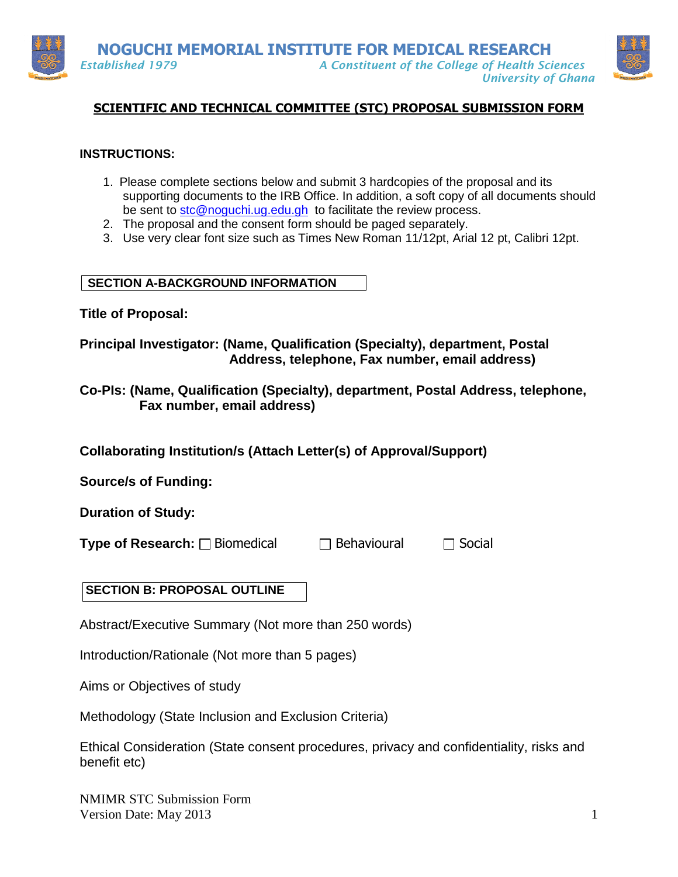

# **SCIENTIFIC AND TECHNICAL COMMITTEE (STC) PROPOSAL SUBMISSION FORM**

### **INSTRUCTIONS:**

- 1. Please complete sections below and submit 3 hardcopies of the proposal and its supporting documents to the IRB Office. In addition, a soft copy of all documents should be sent to [stc@noguchi.ug.edu.gh](mailto:stc@noguchi.ug.edu.gh) to facilitate the review process.
- 2. The proposal and the consent form should be paged separately.
- 3. Use very clear font size such as Times New Roman 11/12pt, Arial 12 pt, Calibri 12pt.

#### **SECTION A-BACKGROUND INFORMATION**

**Title of Proposal:**

## **Principal Investigator: (Name, Qualification (Specialty), department, Postal Address, telephone, Fax number, email address)**

**Co-PIs: (Name, Qualification (Specialty), department, Postal Address, telephone, Fax number, email address)**

**Collaborating Institution/s (Attach Letter(s) of Approval/Support)**

**Source/s of Funding:**

**Duration of Study:**

**Type of Research:** □ Biomedical □ □ Behavioural □ Social

## **SECTION B: PROPOSAL OUTLINE**

Abstract/Executive Summary (Not more than 250 words)

Introduction/Rationale (Not more than 5 pages)

Aims or Objectives of study

Methodology (State Inclusion and Exclusion Criteria)

Ethical Consideration (State consent procedures, privacy and confidentiality, risks and benefit etc)

NMIMR STC Submission Form Version Date: May 2013 1